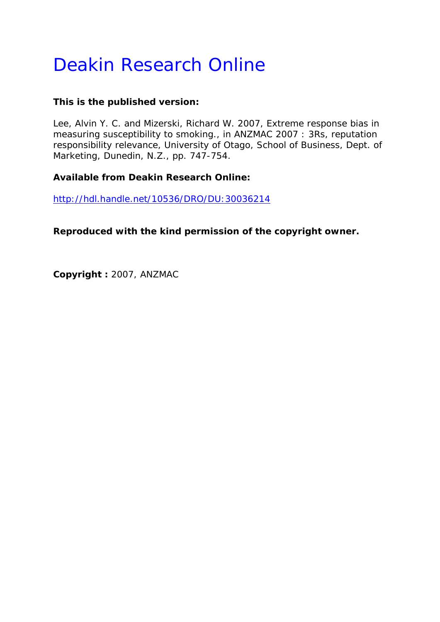# Deakin Research Online

# **This is the published version:**

Lee, Alvin Y. C. and Mizerski, Richard W. 2007, Extreme response bias in measuring susceptibility to smoking.*, in ANZMAC 2007 : 3Rs, reputation responsibility relevance*, University of Otago, School of Business, Dept. of Marketing, Dunedin, N.Z., pp. 747-754.

# **Available from Deakin Research Online:**

http://hdl.handle.net/10536/DRO/DU:30036214

**Reproduced with the kind permission of the copyright owner.** 

**Copyright :** 2007, ANZMAC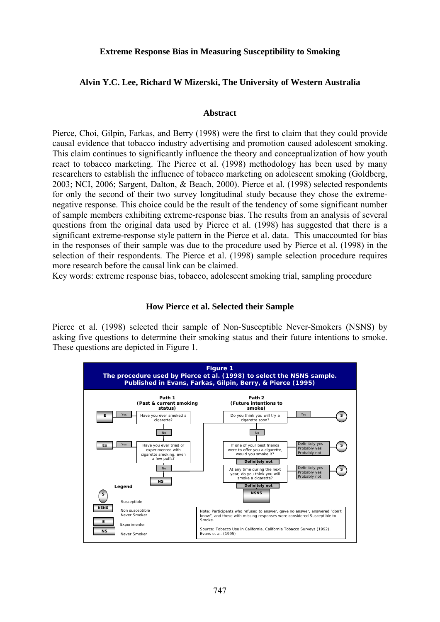## **Extreme Response Bias in Measuring Susceptibility to Smoking**

## **Alvin Y.C. Lee, Richard W Mizerski, The University of Western Australia**

#### **Abstract**

Pierce, Choi, Gilpin, Farkas, and Berry (1998) were the first to claim that they could provide causal evidence that tobacco industry advertising and promotion caused adolescent smoking. This claim continues to significantly influence the theory and conceptualization of how youth react to tobacco marketing. The Pierce et al. (1998) methodology has been used by many researchers to establish the influence of tobacco marketing on adolescent smoking (Goldberg, 2003; NCI, 2006; Sargent, Dalton, & Beach, 2000). Pierce et al. (1998) selected respondents for only the second of their two survey longitudinal study because they chose the extremenegative response. This choice could be the result of the tendency of some significant number of sample members exhibiting extreme-response bias. The results from an analysis of several questions from the original data used by Pierce et al. (1998) has suggested that there is a significant extreme-response style pattern in the Pierce et al. data. This unaccounted for bias in the responses of their sample was due to the procedure used by Pierce et al. (1998) in the selection of their respondents. The Pierce et al. (1998) sample selection procedure requires more research before the causal link can be claimed.

Key words: extreme response bias, tobacco, adolescent smoking trial, sampling procedure

#### **How Pierce et al. Selected their Sample**

Pierce et al. (1998) selected their sample of Non-Susceptible Never-Smokers (NSNS) by asking five questions to determine their smoking status and their future intentions to smoke. These questions are depicted in Figure 1.

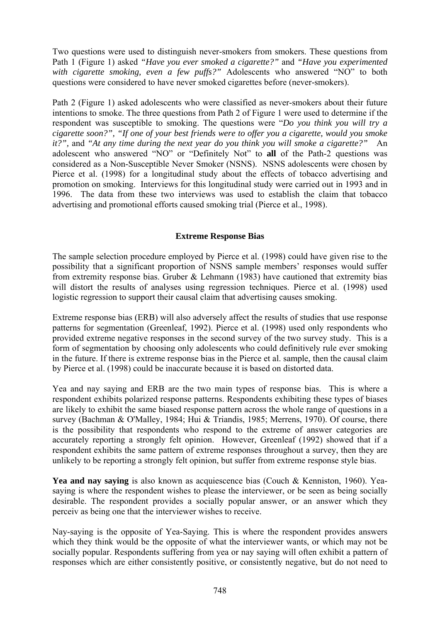Two questions were used to distinguish never-smokers from smokers. These questions from Path 1 (Figure 1) asked *"Have you ever smoked a cigarette?"* and *"Have you experimented with cigarette smoking, even a few puffs?"* Adolescents who answered "NO" to both questions were considered to have never smoked cigarettes before (never-smokers).

Path 2 (Figure 1) asked adolescents who were classified as never-smokers about their future intentions to smoke. The three questions from Path 2 of Figure 1 were used to determine if the respondent was susceptible to smoking. The questions were "*Do you think you will try a cigarette soon?", "If one of your best friends were to offer you a cigarette, would you smoke it?"*, and "At any time during the next year do you think you will smoke a cigarette?" An adolescent who answered "NO" or "Definitely Not" to **all** of the Path-2 questions was considered as a Non-Susceptible Never Smoker (NSNS). NSNS adolescents were chosen by Pierce et al. (1998) for a longitudinal study about the effects of tobacco advertising and promotion on smoking. Interviews for this longitudinal study were carried out in 1993 and in 1996. The data from these two interviews was used to establish the claim that tobacco advertising and promotional efforts caused smoking trial (Pierce et al., 1998).

# **Extreme Response Bias**

The sample selection procedure employed by Pierce et al. (1998) could have given rise to the possibility that a significant proportion of NSNS sample members' responses would suffer from extremity response bias. Gruber & Lehmann (1983) have cautioned that extremity bias will distort the results of analyses using regression techniques. Pierce et al. (1998) used logistic regression to support their causal claim that advertising causes smoking.

Extreme response bias (ERB) will also adversely affect the results of studies that use response patterns for segmentation (Greenleaf, 1992). Pierce et al. (1998) used only respondents who provided extreme negative responses in the second survey of the two survey study. This is a form of segmentation by choosing only adolescents who could definitively rule ever smoking in the future. If there is extreme response bias in the Pierce et al. sample, then the causal claim by Pierce et al. (1998) could be inaccurate because it is based on distorted data.

Yea and nay saying and ERB are the two main types of response bias. This is where a respondent exhibits polarized response patterns. Respondents exhibiting these types of biases are likely to exhibit the same biased response pattern across the whole range of questions in a survey (Bachman & O'Malley, 1984; Hui & Triandis, 1985; Merrens, 1970). Of course, there is the possibility that respondents who respond to the extreme of answer categories are accurately reporting a strongly felt opinion. However, Greenleaf (1992) showed that if a respondent exhibits the same pattern of extreme responses throughout a survey, then they are unlikely to be reporting a strongly felt opinion, but suffer from extreme response style bias.

Yea and nay saying is also known as acquiescence bias (Couch & Kenniston, 1960). Yeasaying is where the respondent wishes to please the interviewer, or be seen as being socially desirable. The respondent provides a socially popular answer, or an answer which they perceiv as being one that the interviewer wishes to receive.

Nay-saying is the opposite of Yea-Saying. This is where the respondent provides answers which they think would be the opposite of what the interviewer wants, or which may not be socially popular. Respondents suffering from yea or nay saying will often exhibit a pattern of responses which are either consistently positive, or consistently negative, but do not need to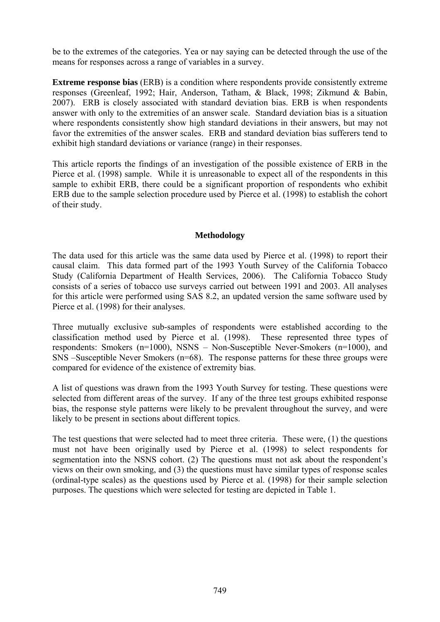be to the extremes of the categories. Yea or nay saying can be detected through the use of the means for responses across a range of variables in a survey.

**Extreme response bias** (ERB) is a condition where respondents provide consistently extreme responses (Greenleaf, 1992; Hair, Anderson, Tatham, & Black, 1998; Zikmund & Babin, 2007). ERB is closely associated with standard deviation bias. ERB is when respondents answer with only to the extremities of an answer scale. Standard deviation bias is a situation where respondents consistently show high standard deviations in their answers, but may not favor the extremities of the answer scales. ERB and standard deviation bias sufferers tend to exhibit high standard deviations or variance (range) in their responses.

This article reports the findings of an investigation of the possible existence of ERB in the Pierce et al. (1998) sample. While it is unreasonable to expect all of the respondents in this sample to exhibit ERB, there could be a significant proportion of respondents who exhibit ERB due to the sample selection procedure used by Pierce et al. (1998) to establish the cohort of their study.

## **Methodology**

The data used for this article was the same data used by Pierce et al. (1998) to report their causal claim. This data formed part of the 1993 Youth Survey of the California Tobacco Study (California Department of Health Services, 2006). The California Tobacco Study consists of a series of tobacco use surveys carried out between 1991 and 2003. All analyses for this article were performed using SAS 8.2, an updated version the same software used by Pierce et al. (1998) for their analyses.

Three mutually exclusive sub-samples of respondents were established according to the classification method used by Pierce et al. (1998). These represented three types of respondents: Smokers (n=1000), NSNS – Non-Susceptible Never-Smokers (n=1000), and SNS –Susceptible Never Smokers (n=68). The response patterns for these three groups were compared for evidence of the existence of extremity bias.

A list of questions was drawn from the 1993 Youth Survey for testing. These questions were selected from different areas of the survey. If any of the three test groups exhibited response bias, the response style patterns were likely to be prevalent throughout the survey, and were likely to be present in sections about different topics.

The test questions that were selected had to meet three criteria. These were, (1) the questions must not have been originally used by Pierce et al. (1998) to select respondents for segmentation into the NSNS cohort. (2) The questions must not ask about the respondent's views on their own smoking, and (3) the questions must have similar types of response scales (ordinal-type scales) as the questions used by Pierce et al. (1998) for their sample selection purposes. The questions which were selected for testing are depicted in Table 1.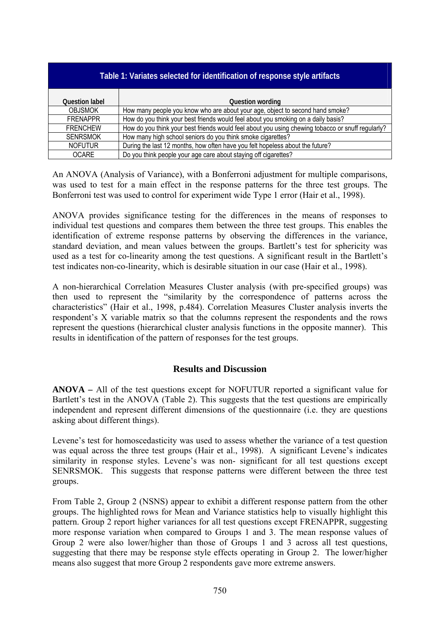| Table 1: Variates selected for identification of response style artifacts |                                                                                                   |  |  |  |  |  |
|---------------------------------------------------------------------------|---------------------------------------------------------------------------------------------------|--|--|--|--|--|
| <b>Question label</b>                                                     | Question wording                                                                                  |  |  |  |  |  |
| <b>OBJSMOK</b>                                                            | How many people you know who are about your age, object to second hand smoke?                     |  |  |  |  |  |
| <b>FRENAPPR</b>                                                           | How do you think your best friends would feel about you smoking on a daily basis?                 |  |  |  |  |  |
| <b>FRENCHEW</b>                                                           | How do you think your best friends would feel about you using chewing tobacco or snuff regularly? |  |  |  |  |  |
| <b>SENRSMOK</b>                                                           | How many high school seniors do you think smoke cigarettes?                                       |  |  |  |  |  |
| <b>NOFUTUR</b>                                                            | During the last 12 months, how often have you felt hopeless about the future?                     |  |  |  |  |  |
| <b>OCARE</b>                                                              | Do you think people your age care about staying off cigarettes?                                   |  |  |  |  |  |

An ANOVA (Analysis of Variance), with a Bonferroni adjustment for multiple comparisons, was used to test for a main effect in the response patterns for the three test groups. The Bonferroni test was used to control for experiment wide Type 1 error (Hair et al., 1998).

ANOVA provides significance testing for the differences in the means of responses to individual test questions and compares them between the three test groups. This enables the identification of extreme response patterns by observing the differences in the variance, standard deviation, and mean values between the groups. Bartlett's test for sphericity was used as a test for co-linearity among the test questions. A significant result in the Bartlett's test indicates non-co-linearity, which is desirable situation in our case (Hair et al., 1998).

A non-hierarchical Correlation Measures Cluster analysis (with pre-specified groups) was then used to represent the "similarity by the correspondence of patterns across the characteristics" (Hair et al., 1998, p.484). Correlation Measures Cluster analysis inverts the respondent's X variable matrix so that the columns represent the respondents and the rows represent the questions (hierarchical cluster analysis functions in the opposite manner). This results in identification of the pattern of responses for the test groups.

# **Results and Discussion**

**ANOVA –** All of the test questions except for NOFUTUR reported a significant value for Bartlett's test in the ANOVA (Table 2). This suggests that the test questions are empirically independent and represent different dimensions of the questionnaire (i.e. they are questions asking about different things).

Levene's test for homoscedasticity was used to assess whether the variance of a test question was equal across the three test groups (Hair et al., 1998). A significant Levene's indicates similarity in response styles. Levene's was non- significant for all test questions except SENRSMOK. This suggests that response patterns were different between the three test groups.

From Table 2, Group 2 (NSNS) appear to exhibit a different response pattern from the other groups. The highlighted rows for Mean and Variance statistics help to visually highlight this pattern. Group 2 report higher variances for all test questions except FRENAPPR, suggesting more response variation when compared to Groups 1 and 3. The mean response values of Group 2 were also lower/higher than those of Groups 1 and 3 across all test questions, suggesting that there may be response style effects operating in Group 2. The lower/higher means also suggest that more Group 2 respondents gave more extreme answers.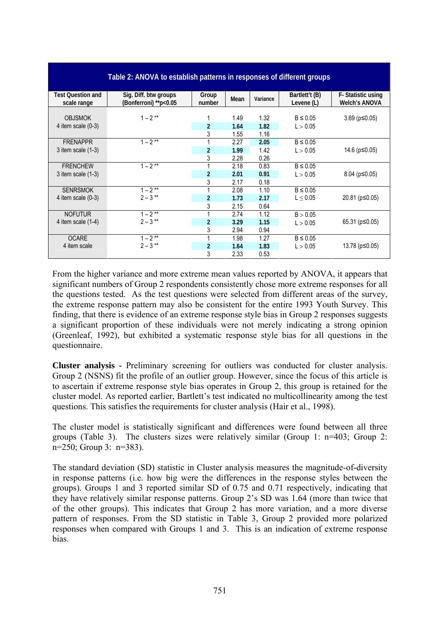| Table 2: ANOVA to establish patterns in responses of different groups |                                                |                     |                      |                      |                              |                                           |  |  |
|-----------------------------------------------------------------------|------------------------------------------------|---------------------|----------------------|----------------------|------------------------------|-------------------------------------------|--|--|
| <b>Test Question and</b><br>scale range                               | Sig. Diff. btw groups<br>(Bonferroni) **p<0.05 | Group<br>number     | Mean                 | Variance             | Bartlett't (B)<br>Levene (L) | F-Statistic using<br><b>Welch's ANOVA</b> |  |  |
| <b>OBJSMOK</b><br>4 item scale $(0-3)$                                | $1 - 2$ **                                     | $\overline{2}$      | 1.49<br>1.64         | 1.32<br>1.82         | $B \le 0.05$<br>L > 0.05     | 3.69 ( $p \le 0.05$ )                     |  |  |
| <b>FRENAPPR</b>                                                       | $1 - 2$ **                                     | 3<br>$\overline{2}$ | 1.55<br>2.27         | 1.16<br>2.05<br>1.42 | $B \le 0.05$                 |                                           |  |  |
| 3 item scale $(1-3)$                                                  |                                                | 3                   | 1.99<br>2.28         | 0.26                 | L > 0.05                     | $14.6$ ( $p≤0.05$ )                       |  |  |
| <b>FRENCHEW</b><br>3 item scale $(1-3)$                               | $1 - 2$ **                                     | $\overline{2}$<br>3 | 2.18<br>2.01<br>2.17 | 0.83<br>0.91<br>0.18 | $B \leq 0.05$<br>L > 0.05    | $8.04$ ( $p \le 0.05$ )                   |  |  |
| <b>SENRSMOK</b><br>4 item scale $(0-3)$                               | $1 - 2$ **<br>$2 - 3$ **                       | $\overline{2}$<br>3 | 2.08<br>1.73<br>2.15 | 1.10<br>2.17<br>0.64 | $B \le 0.05$<br>L < 0.05     | 20.81 (p≤0.05)                            |  |  |
| <b>NOFUTUR</b><br>4 item scale $(1-4)$                                | $1 - 2$ **<br>$2 - 3$ **                       | $\overline{2}$<br>3 | 2.74<br>3.29<br>2.94 | 1.12<br>1.15<br>0.94 | B > 0.05<br>L > 0.05         | 65.31 (p≤0.05)                            |  |  |
| <b>OCARE</b><br>4 item scale                                          | $1 - 2$ **<br>$2 - 3$ **                       | $\overline{2}$<br>3 | 1.98<br>1.64<br>2.33 | 1.27<br>1.83<br>0.53 | $B \leq 0.05$<br>L > 0.05    | 13.78 (p≤0.05)                            |  |  |

From the higher variance and more extreme mean values reported by ANOVA, it appears that significant numbers of Group 2 respondents consistently chose more extreme responses for all the questions tested. As the test questions were selected from different areas of the survey, the extreme response pattern may also be consistent for the entire 1993 Youth Survey. This finding, that there is evidence of an extreme response style bias in Group 2 responses suggests a significant proportion of these individuals were not merely indicating a strong opinion (Greenleaf, 1992), but exhibited a systematic response style bias for all questions in the questionnaire.

**Cluster analysis -** Preliminary screening for outliers was conducted for cluster analysis. Group 2 (NSNS) fit the profile of an outlier group. However, since the focus of this article is to ascertain if extreme response style bias operates in Group 2, this group is retained for the cluster model. As reported earlier, Bartlett's test indicated no multicollinearity among the test questions. This satisfies the requirements for cluster analysis (Hair et al., 1998).

The cluster model is statistically significant and differences were found between all three groups (Table 3). The clusters sizes were relatively similar (Group 1: n=403; Group 2: n=250; Group 3: n=383).

The standard deviation (SD) statistic in Cluster analysis measures the magnitude-of-diversity in response patterns (i.e. how big were the differences in the response styles between the groups). Groups 1 and 3 reported similar SD of 0.75 and 0.71 respectively, indicating that they have relatively similar response patterns. Group 2's SD was 1.64 (more than twice that of the other groups). This indicates that Group 2 has more variation, and a more diverse pattern of responses. From the SD statistic in Table 3, Group 2 provided more polarized responses when compared with Groups 1 and 3. This is an indication of extreme response bias.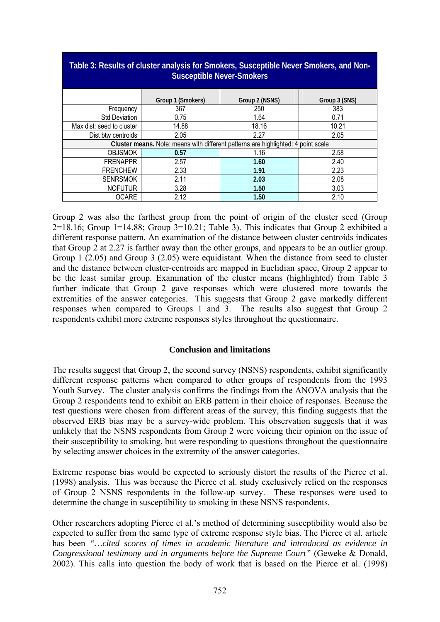| Table 3: Results of cluster analysis for Smokers, Susceptible Never Smokers, and Non-<br><b>Susceptible Never-Smokers</b> |                   |                |               |  |  |  |  |  |
|---------------------------------------------------------------------------------------------------------------------------|-------------------|----------------|---------------|--|--|--|--|--|
|                                                                                                                           | Group 1 (Smokers) | Group 2 (NSNS) | Group 3 (SNS) |  |  |  |  |  |
| Frequency                                                                                                                 | 367               | 250            | 383           |  |  |  |  |  |
| <b>Std Deviation</b>                                                                                                      | 0.75              | 1.64           | 0.71          |  |  |  |  |  |
| Max dist: seed to cluster                                                                                                 | 14.88             | 18.16          | 10.21         |  |  |  |  |  |
| Dist btw centroids                                                                                                        | 2.05              | 2.27           | 2.05          |  |  |  |  |  |
| Cluster means. Note: means with different patterns are highlighted: 4 point scale                                         |                   |                |               |  |  |  |  |  |
| <b>OBJSMOK</b>                                                                                                            | 0.57              | 1.16           | 2.58          |  |  |  |  |  |
| <b>FRENAPPR</b>                                                                                                           | 2.57              | 1.60           | 2.40          |  |  |  |  |  |
| <b>FRENCHEW</b>                                                                                                           | 2.33              | 1.91           | 2.23          |  |  |  |  |  |
| <b>SENRSMOK</b>                                                                                                           | 2.11              | 2.03           | 2.08          |  |  |  |  |  |
| <b>NOFUTUR</b>                                                                                                            | 3.28              | 1.50           | 3.03          |  |  |  |  |  |
| <b>OCARE</b>                                                                                                              | 2.12              | 1.50           | 2.10          |  |  |  |  |  |

Group 2 was also the farthest group from the point of origin of the cluster seed (Group  $2=18.16$ ; Group  $1=14.88$ ; Group  $3=10.21$ ; Table 3). This indicates that Group 2 exhibited a different response pattern. An examination of the distance between cluster centroids indicates that Group 2 at 2.27 is farther away than the other groups, and appears to be an outlier group. Group 1 (2.05) and Group 3 (2.05) were equidistant. When the distance from seed to cluster and the distance between cluster-centroids are mapped in Euclidian space, Group 2 appear to be the least similar group. Examination of the cluster means (highlighted) from Table 3 further indicate that Group 2 gave responses which were clustered more towards the extremities of the answer categories. This suggests that Group 2 gave markedly different responses when compared to Groups 1 and 3. The results also suggest that Group 2 respondents exhibit more extreme responses styles throughout the questionnaire.

# **Conclusion and limitations**

The results suggest that Group 2, the second survey (NSNS) respondents, exhibit significantly different response patterns when compared to other groups of respondents from the 1993 Youth Survey. The cluster analysis confirms the findings from the ANOVA analysis that the Group 2 respondents tend to exhibit an ERB pattern in their choice of responses. Because the test questions were chosen from different areas of the survey, this finding suggests that the observed ERB bias may be a survey-wide problem. This observation suggests that it was unlikely that the NSNS respondents from Group 2 were voicing their opinion on the issue of their susceptibility to smoking, but were responding to questions throughout the questionnaire by selecting answer choices in the extremity of the answer categories.

Extreme response bias would be expected to seriously distort the results of the Pierce et al. (1998) analysis. This was because the Pierce et al. study exclusively relied on the responses of Group 2 NSNS respondents in the follow-up survey. These responses were used to determine the change in susceptibility to smoking in these NSNS respondents.

Other researchers adopting Pierce et al.'s method of determining susceptibility would also be expected to suffer from the same type of extreme response style bias. The Pierce et al. article has been *"…cited scores of times in academic literature and introduced as evidence in Congressional testimony and in arguments before the Supreme Court"* (Geweke & Donald, 2002). This calls into question the body of work that is based on the Pierce et al. (1998)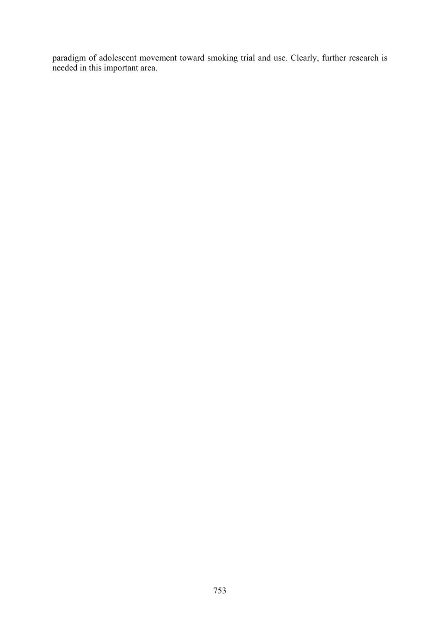paradigm of adolescent movement toward smoking trial and use. Clearly, further research is needed in this important area.